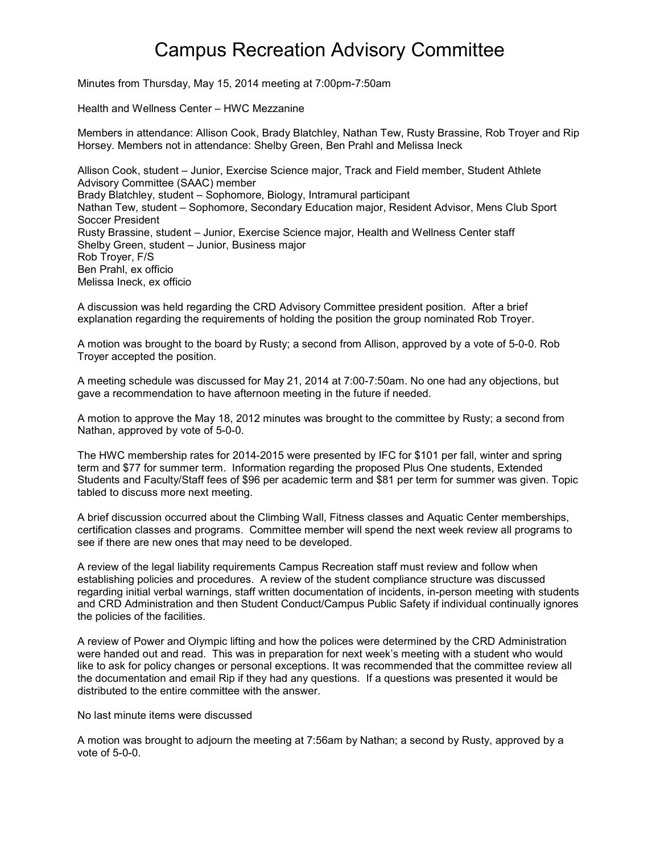## Campus Recreation Advisory Committee

Minutes from Thursday, May 15, 2014 meeting at 7:00pm-7:50am

Health and Wellness Center – HWC Mezzanine

Members in attendance: Allison Cook, Brady Blatchley, Nathan Tew, Rusty Brassine, Rob Troyer and Rip Horsey. Members not in attendance: Shelby Green, Ben Prahl and Melissa Ineck

Allison Cook, student – Junior, Exercise Science major, Track and Field member, Student Athlete Advisory Committee (SAAC) member Brady Blatchley, student – Sophomore, Biology, Intramural participant Nathan Tew, student – Sophomore, Secondary Education major, Resident Advisor, Mens Club Sport Soccer President Rusty Brassine, student – Junior, Exercise Science major, Health and Wellness Center staff Shelby Green, student – Junior, Business major Rob Troyer, F/S Ben Prahl, ex officio Melissa Ineck, ex officio

A discussion was held regarding the CRD Advisory Committee president position. After a brief explanation regarding the requirements of holding the position the group nominated Rob Troyer.

A motion was brought to the board by Rusty; a second from Allison, approved by a vote of 5-0-0. Rob Troyer accepted the position.

A meeting schedule was discussed for May 21, 2014 at 7:00-7:50am. No one had any objections, but gave a recommendation to have afternoon meeting in the future if needed.

A motion to approve the May 18, 2012 minutes was brought to the committee by Rusty; a second from Nathan, approved by vote of 5-0-0.

The HWC membership rates for 2014-2015 were presented by IFC for \$101 per fall, winter and spring term and \$77 for summer term. Information regarding the proposed Plus One students, Extended Students and Faculty/Staff fees of \$96 per academic term and \$81 per term for summer was given. Topic tabled to discuss more next meeting.

A brief discussion occurred about the Climbing Wall, Fitness classes and Aquatic Center memberships, certification classes and programs. Committee member will spend the next week review all programs to see if there are new ones that may need to be developed.

A review of the legal liability requirements Campus Recreation staff must review and follow when establishing policies and procedures. A review of the student compliance structure was discussed regarding initial verbal warnings, staff written documentation of incidents, in-person meeting with students and CRD Administration and then Student Conduct/Campus Public Safety if individual continually ignores the policies of the facilities.

A review of Power and Olympic lifting and how the polices were determined by the CRD Administration were handed out and read. This was in preparation for next week's meeting with a student who would like to ask for policy changes or personal exceptions. It was recommended that the committee review all the documentation and email Rip if they had any questions. If a questions was presented it would be distributed to the entire committee with the answer.

No last minute items were discussed

A motion was brought to adjourn the meeting at 7:56am by Nathan; a second by Rusty, approved by a vote of 5-0-0.